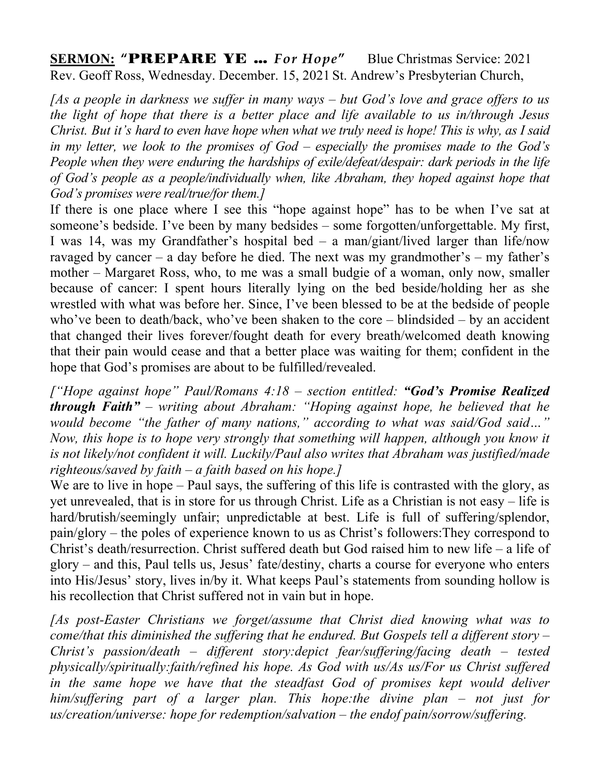**SERMON: "**PREPARE YE … *For Hope***"** Blue Christmas Service: 2021 Rev. Geoff Ross, Wednesday. December. 15, 2021 St. Andrew's Presbyterian Church,

*[As a people in darkness we suffer in many ways – but God's love and grace offers to us the light of hope that there is a better place and life available to us in/through Jesus Christ. But it's hard to even have hope when what we truly need is hope! This is why, as I said in my letter, we look to the promises of God – especially the promises made to the God's People when they were enduring the hardships of exile/defeat/despair: dark periods in the life of God's people as a people/individually when, like Abraham, they hoped against hope that God's promises were real/true/for them.]*

If there is one place where I see this "hope against hope" has to be when I've sat at someone's bedside. I've been by many bedsides – some forgotten/unforgettable. My first, I was 14, was my Grandfather's hospital bed – a man/giant/lived larger than life/now ravaged by cancer – a day before he died. The next was my grandmother's – my father's mother – Margaret Ross, who, to me was a small budgie of a woman, only now, smaller because of cancer: I spent hours literally lying on the bed beside/holding her as she wrestled with what was before her. Since, I've been blessed to be at the bedside of people who've been to death/back, who've been shaken to the core – blindsided – by an accident that changed their lives forever/fought death for every breath/welcomed death knowing that their pain would cease and that a better place was waiting for them; confident in the hope that God's promises are about to be fulfilled/revealed.

*["Hope against hope" Paul/Romans 4:18 – section entitled: "God's Promise Realized through Faith" – writing about Abraham: "Hoping against hope, he believed that he would become "the father of many nations," according to what was said/God said…" Now, this hope is to hope very strongly that something will happen, although you know it is not likely/not confident it will. Luckily/Paul also writes that Abraham was justified/made righteous/saved by faith – a faith based on his hope.]*

We are to live in hope – Paul says, the suffering of this life is contrasted with the glory, as yet unrevealed, that is in store for us through Christ. Life as a Christian is not easy – life is hard/brutish/seemingly unfair; unpredictable at best. Life is full of suffering/splendor, pain/glory – the poles of experience known to us as Christ's followers:They correspond to Christ's death/resurrection. Christ suffered death but God raised him to new life – a life of glory – and this, Paul tells us, Jesus' fate/destiny, charts a course for everyone who enters into His/Jesus' story, lives in/by it. What keeps Paul's statements from sounding hollow is his recollection that Christ suffered not in vain but in hope.

*[As post-Easter Christians we forget/assume that Christ died knowing what was to come/that this diminished the suffering that he endured. But Gospels tell a different story – Christ's passion/death – different story:depict fear/suffering/facing death – tested physically/spiritually:faith/refined his hope. As God with us/As us/For us Christ suffered*  in the same hope we have that the steadfast God of promises kept would deliver *him/suffering part of a larger plan. This hope:the divine plan – not just for us/creation/universe: hope for redemption/salvation – the endof pain/sorrow/suffering.*